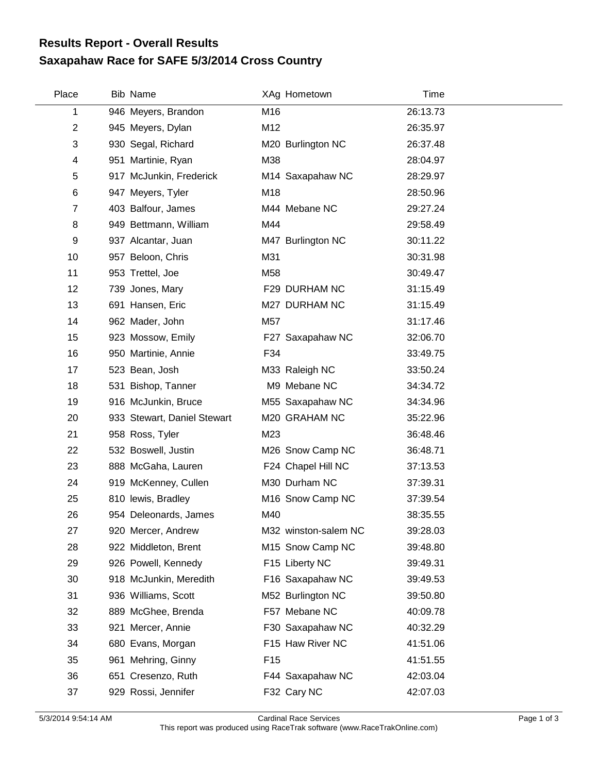## **Saxapahaw Race for SAFE 5/3/2014 Cross Country Results Report - Overall Results**

| Place          | <b>Bib Name</b>             | XAg Hometown         | Time     |
|----------------|-----------------------------|----------------------|----------|
| 1              | 946 Meyers, Brandon         | M16                  | 26:13.73 |
| $\overline{c}$ | 945 Meyers, Dylan           | M12                  | 26:35.97 |
| 3              | 930 Segal, Richard          | M20 Burlington NC    | 26:37.48 |
| 4              | 951 Martinie, Ryan          | M38                  | 28:04.97 |
| 5              | 917 McJunkin, Frederick     | M14 Saxapahaw NC     | 28:29.97 |
| 6              | 947 Meyers, Tyler           | M18                  | 28:50.96 |
| 7              | 403 Balfour, James          | M44 Mebane NC        | 29:27.24 |
| 8              | 949 Bettmann, William       | M44                  | 29:58.49 |
| 9              | 937 Alcantar, Juan          | M47 Burlington NC    | 30:11.22 |
| 10             | 957 Beloon, Chris           | M31                  | 30:31.98 |
| 11             | 953 Trettel, Joe            | M58                  | 30:49.47 |
| 12             | 739 Jones, Mary             | F29 DURHAM NC        | 31:15.49 |
| 13             | 691 Hansen, Eric            | M27 DURHAM NC        | 31:15.49 |
| 14             | 962 Mader, John             | M57                  | 31:17.46 |
| 15             | 923 Mossow, Emily           | F27 Saxapahaw NC     | 32:06.70 |
| 16             | 950 Martinie, Annie         | F34                  | 33:49.75 |
| 17             | 523 Bean, Josh              | M33 Raleigh NC       | 33:50.24 |
| 18             | 531 Bishop, Tanner          | M9 Mebane NC         | 34:34.72 |
| 19             | 916 McJunkin, Bruce         | M55 Saxapahaw NC     | 34:34.96 |
| 20             | 933 Stewart, Daniel Stewart | M20 GRAHAM NC        | 35:22.96 |
| 21             | 958 Ross, Tyler             | M23                  | 36:48.46 |
| 22             | 532 Boswell, Justin         | M26 Snow Camp NC     | 36:48.71 |
| 23             | 888 McGaha, Lauren          | F24 Chapel Hill NC   | 37:13.53 |
| 24             | 919 McKenney, Cullen        | M30 Durham NC        | 37:39.31 |
| 25             | 810 lewis, Bradley          | M16 Snow Camp NC     | 37:39.54 |
| 26             | 954 Deleonards, James       | M40                  | 38:35.55 |
| 27             | 920 Mercer, Andrew          | M32 winston-salem NC | 39:28.03 |
| 28             | 922 Middleton, Brent        | M15 Snow Camp NC     | 39:48.80 |
| 29             | 926 Powell, Kennedy         | F15 Liberty NC       | 39:49.31 |
| 30             | 918 McJunkin, Meredith      | F16 Saxapahaw NC     | 39:49.53 |
| 31             | 936 Williams, Scott         | M52 Burlington NC    | 39:50.80 |
| 32             | 889 McGhee, Brenda          | F57 Mebane NC        | 40:09.78 |
| 33             | 921 Mercer, Annie           | F30 Saxapahaw NC     | 40:32.29 |
| 34             | 680 Evans, Morgan           | F15 Haw River NC     | 41:51.06 |
| 35             | 961 Mehring, Ginny          | F <sub>15</sub>      | 41:51.55 |
| 36             | 651 Cresenzo, Ruth          | F44 Saxapahaw NC     | 42:03.04 |
| 37             | 929 Rossi, Jennifer         | F32 Cary NC          | 42:07.03 |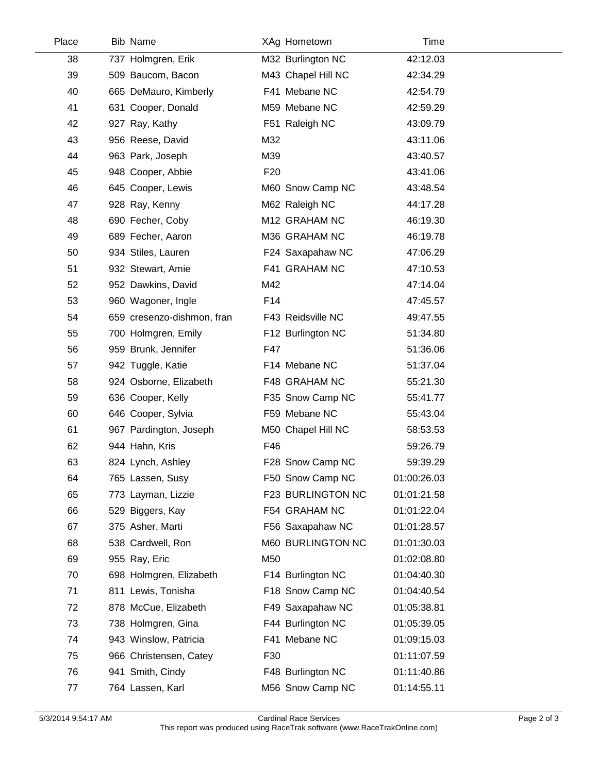| Place | <b>Bib Name</b>            | XAg Hometown       | Time        |  |
|-------|----------------------------|--------------------|-------------|--|
| 38    | 737 Holmgren, Erik         | M32 Burlington NC  | 42:12.03    |  |
| 39    | 509 Baucom, Bacon          | M43 Chapel Hill NC | 42:34.29    |  |
| 40    | 665 DeMauro, Kimberly      | F41 Mebane NC      | 42:54.79    |  |
| 41    | 631 Cooper, Donald         | M59 Mebane NC      | 42:59.29    |  |
| 42    | 927 Ray, Kathy             | F51 Raleigh NC     | 43:09.79    |  |
| 43    | 956 Reese, David           | M32                | 43:11.06    |  |
| 44    | 963 Park, Joseph           | M39                | 43:40.57    |  |
| 45    | 948 Cooper, Abbie          | F <sub>20</sub>    | 43:41.06    |  |
| 46    | 645 Cooper, Lewis          | M60 Snow Camp NC   | 43:48.54    |  |
| 47    | 928 Ray, Kenny             | M62 Raleigh NC     | 44:17.28    |  |
| 48    | 690 Fecher, Coby           | M12 GRAHAM NC      | 46:19.30    |  |
| 49    | 689 Fecher, Aaron          | M36 GRAHAM NC      | 46:19.78    |  |
| 50    | 934 Stiles, Lauren         | F24 Saxapahaw NC   | 47:06.29    |  |
| 51    | 932 Stewart, Amie          | F41 GRAHAM NC      | 47:10.53    |  |
| 52    | 952 Dawkins, David         | M42                | 47:14.04    |  |
| 53    | 960 Wagoner, Ingle         | F14                | 47:45.57    |  |
| 54    | 659 cresenzo-dishmon, fran | F43 Reidsville NC  | 49:47.55    |  |
| 55    | 700 Holmgren, Emily        | F12 Burlington NC  | 51:34.80    |  |
| 56    | 959 Brunk, Jennifer        | F47                | 51:36.06    |  |
| 57    | 942 Tuggle, Katie          | F14 Mebane NC      | 51:37.04    |  |
| 58    | 924 Osborne, Elizabeth     | F48 GRAHAM NC      | 55:21.30    |  |
| 59    | 636 Cooper, Kelly          | F35 Snow Camp NC   | 55:41.77    |  |
| 60    | 646 Cooper, Sylvia         | F59 Mebane NC      | 55:43.04    |  |
| 61    | 967 Pardington, Joseph     | M50 Chapel Hill NC | 58:53.53    |  |
| 62    | 944 Hahn, Kris             | F46                | 59:26.79    |  |
| 63    | 824 Lynch, Ashley          | F28 Snow Camp NC   | 59:39.29    |  |
| 64    | 765 Lassen, Susy           | F50 Snow Camp NC   | 01:00:26.03 |  |
| 65    | 773 Layman, Lizzie         | F23 BURLINGTON NC  | 01:01:21.58 |  |
| 66    | 529 Biggers, Kay           | F54 GRAHAM NC      | 01:01:22.04 |  |
| 67    | 375 Asher, Marti           | F56 Saxapahaw NC   | 01:01:28.57 |  |
| 68    | 538 Cardwell, Ron          | M60 BURLINGTON NC  | 01:01:30.03 |  |
| 69    | 955 Ray, Eric              | M50                | 01:02:08.80 |  |
| 70    | 698 Holmgren, Elizabeth    | F14 Burlington NC  | 01:04:40.30 |  |
| 71    | 811 Lewis, Tonisha         | F18 Snow Camp NC   | 01:04:40.54 |  |
| 72    | 878 McCue, Elizabeth       | F49 Saxapahaw NC   | 01:05:38.81 |  |
| 73    | 738 Holmgren, Gina         | F44 Burlington NC  | 01:05:39.05 |  |
| 74    | 943 Winslow, Patricia      | F41 Mebane NC      | 01:09:15.03 |  |
| 75    | 966 Christensen, Catey     | F30                | 01:11:07.59 |  |
| 76    | 941 Smith, Cindy           | F48 Burlington NC  | 01:11:40.86 |  |
| 77    | 764 Lassen, Karl           | M56 Snow Camp NC   | 01:14:55.11 |  |